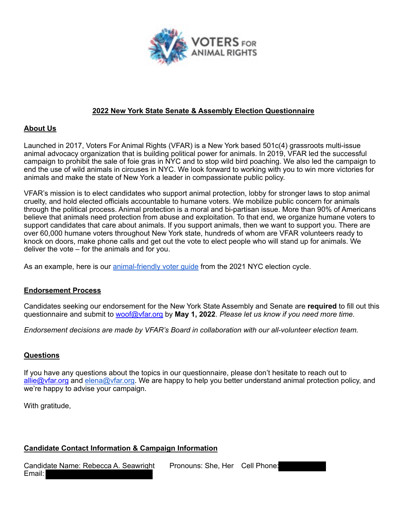

### **2022 New York State Senate & Assembly Election Questionnaire**

#### **About Us**

Launched in 2017, Voters For Animal Rights (VFAR) is a New York based 501c(4) grassroots multi-issue animal advocacy organization that is building political power for animals. In 2019, VFAR led the successful campaign to prohibit the sale of foie gras in NYC and to stop wild bird poaching. We also led the campaign to end the use of wild animals in circuses in NYC. We look forward to working with you to win more victories for animals and make the state of New York a leader in compassionate public policy.

VFAR's mission is to elect candidates who support animal protection, lobby for stronger laws to stop animal cruelty, and hold elected officials accountable to humane voters. We mobilize public concern for animals through the political process. Animal protection is a moral and bi-partisan issue. More than 90% of Americans believe that animals need protection from abuse and exploitation. To that end, we organize humane voters to support candidates that care about animals. If you support animals, then we want to support you. There are over 60,000 humane voters throughout New York state, hundreds of whom are VFAR volunteers ready to knock on doors, make phone calls and get out the vote to elect people who will stand up for animals. We deliver the vote – for the animals and for you.

As an example, here is our animal-friendly voter guide from the 2021 NYC election cycle.

### **Endorsement Process**

Candidates seeking our endorsement for the New York State Assembly and Senate are **required** to fill out this questionnaire and submit to woof@vfar.org by **May 1, 2022**. *Please let us know if you need more time.* 

*Endorsement decisions are made by VFAR's Board in collaboration with our all-volunteer election team.* 

### **Questions**

If you have any questions about the topics in our questionnaire, please don't hesitate to reach out to allie@vfar.org and elena@vfar.org. We are happy to help you better understand animal protection policy, and we're happy to advise your campaign.

With gratitude,

### **Candidate Contact Information & Campaign Information**

| Candidate Name: Rebecca A. Seawright | Pronouns: She, Her Cell Phone: |  |
|--------------------------------------|--------------------------------|--|
| Email:                               |                                |  |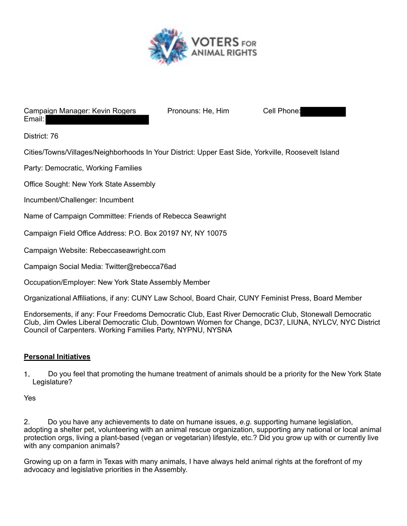

#### Campaign Manager: Kevin Rogers Pronouns: He, Him Cell Phone: Email:

District: 76

Cities/Towns/Villages/Neighborhoods In Your District: Upper East Side, Yorkville, Roosevelt Island

Party: Democratic, Working Families

Office Sought: New York State Assembly

Incumbent/Challenger: Incumbent

Name of Campaign Committee: Friends of Rebecca Seawright

Campaign Field Office Address: P.O. Box 20197 NY, NY 10075

Campaign Website: Rebeccaseawright.com

Campaign Social Media: Twitter@rebecca76ad

Occupation/Employer: New York State Assembly Member

Organizational Affiliations, if any: CUNY Law School, Board Chair, CUNY Feminist Press, Board Member

Endorsements, if any: Four Freedoms Democratic Club, East River Democratic Club, Stonewall Democratic Club, Jim Owles Liberal Democratic Club, Downtown Women for Change, DC37, LIUNA, NYLCV, NYC District Council of Carpenters. Working Families Party, NYPNU, NYSNA

### **Personal Initiatives**

1. Do you feel that promoting the humane treatment of animals should be a priority for the New York State Legislature?

Yes

2. Do you have any achievements to date on humane issues, *e.g*. supporting humane legislation, adopting a shelter pet, volunteering with an animal rescue organization, supporting any national or local animal protection orgs, living a plant-based (vegan or vegetarian) lifestyle, etc.? Did you grow up with or currently live with any companion animals?

Growing up on a farm in Texas with many animals, I have always held animal rights at the forefront of my advocacy and legislative priorities in the Assembly.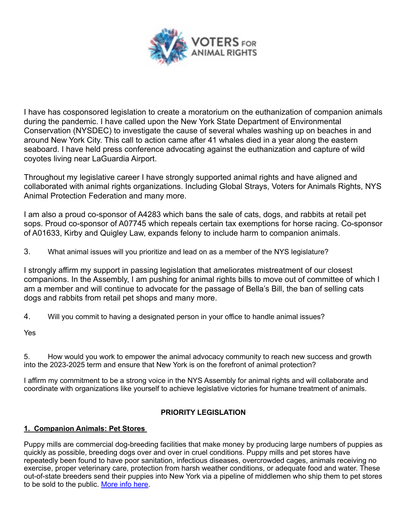

I have has cosponsored legislation to create a moratorium on the euthanization of companion animals during the pandemic. I have called upon the New York State Department of Environmental Conservation (NYSDEC) to investigate the cause of several whales washing up on beaches in and around New York City. This call to action came after 41 whales died in a year along the eastern seaboard. I have held press conference advocating against the euthanization and capture of wild coyotes living near LaGuardia Airport.

Throughout my legislative career I have strongly supported animal rights and have aligned and collaborated with animal rights organizations. Including Global Strays, Voters for Animals Rights, NYS Animal Protection Federation and many more.

I am also a proud co-sponsor of A4283 which bans the sale of cats, dogs, and rabbits at retail pet sops. Proud co-sponsor of A07745 which repeals certain tax exemptions for horse racing. Co-sponsor of A01633, Kirby and Quigley Law, expands felony to include harm to companion animals.

3. What animal issues will you prioritize and lead on as a member of the NYS legislature?

I strongly affirm my support in passing legislation that ameliorates mistreatment of our closest companions. In the Assembly, I am pushing for animal rights bills to move out of committee of which I am a member and will continue to advocate for the passage of Bella's Bill, the ban of selling cats dogs and rabbits from retail pet shops and many more.

4. Will you commit to having a designated person in your office to handle animal issues?

Yes

5. How would you work to empower the animal advocacy community to reach new success and growth into the 2023-2025 term and ensure that New York is on the forefront of animal protection?

I affirm my commitment to be a strong voice in the NYS Assembly for animal rights and will collaborate and coordinate with organizations like yourself to achieve legislative victories for humane treatment of animals.

# **PRIORITY LEGISLATION**

### **1. Companion Animals: Pet Stores**

Puppy mills are commercial dog-breeding facilities that make money by producing large numbers of puppies as quickly as possible, breeding dogs over and over in cruel conditions. Puppy mills and pet stores have repeatedly been found to have poor sanitation, infectious diseases, overcrowded cages, animals receiving no exercise, proper veterinary care, protection from harsh weather conditions, or adequate food and water. These out-of-state breeders send their puppies into New York via a pipeline of middlemen who ship them to pet stores to be sold to the public. More info here.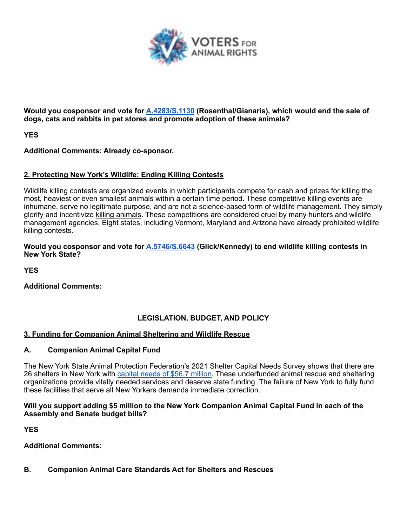

**Would you cosponsor and vote for A.4283/S.1130 (Rosenthal/Gianaris), which would end the sale of dogs, cats and rabbits in pet stores and promote adoption of these animals?**

**YES** 

**Additional Comments: Already co-sponsor.** 

### **2. Protecting New York's Wildlife: Ending Killing Contests**

Wildlife killing contests are organized events in which participants compete for cash and prizes for killing the most, heaviest or even smallest animals within a certain time period. These competitive killing events are inhumane, serve no legitimate purpose, and are not a science-based form of wildlife management. They simply glorify and incentivize killing animals. These competitions are considered cruel by many hunters and wildlife management agencies. Eight states, including Vermont, Maryland and Arizona have already prohibited wildlife killing contests.

#### **Would you cosponsor and vote for A.5746/S.6643 (Glick/Kennedy) to end wildlife killing contests in New York State?**

**YES** 

**Additional Comments:**

# **LEGISLATION, BUDGET, AND POLICY**

### **3. Funding for Companion Animal Sheltering and Wildlife Rescue**

### **A. Companion Animal Capital Fund**

The New York State Animal Protection Federation's 2021 Shelter Capital Needs Survey shows that there are 26 shelters in New York with capital needs of \$56.7 million. These underfunded animal rescue and sheltering organizations provide vitally needed services and deserve state funding. The failure of New York to fully fund these facilities that serve all New Yorkers demands immediate correction.

#### **Will you support adding \$5 million to the New York Companion Animal Capital Fund in each of the Assembly and Senate budget bills?**

**YES** 

**Additional Comments:**

### **B. Companion Animal Care Standards Act for Shelters and Rescues**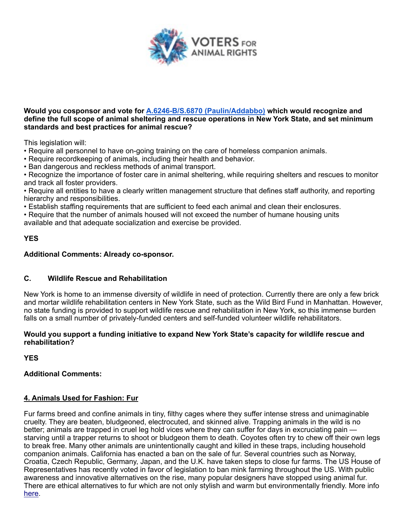

#### **Would you cosponsor and vote for A.6246-B/S.6870 (Paulin/Addabbo) which would recognize and define the full scope of animal sheltering and rescue operations in New York State, and set minimum standards and best practices for animal rescue?**

This legislation will:

- Require all personnel to have on-going training on the care of homeless companion animals.
- Require recordkeeping of animals, including their health and behavior.
- Ban dangerous and reckless methods of animal transport.

• Recognize the importance of foster care in animal sheltering, while requiring shelters and rescues to monitor and track all foster providers.

• Require all entities to have a clearly written management structure that defines staff authority, and reporting hierarchy and responsibilities.

• Establish staffing requirements that are sufficient to feed each animal and clean their enclosures.

• Require that the number of animals housed will not exceed the number of humane housing units

available and that adequate socialization and exercise be provided.

#### **YES**

#### **Additional Comments: Already co-sponsor.**

### **C. Wildlife Rescue and Rehabilitation**

New York is home to an immense diversity of wildlife in need of protection. Currently there are only a few brick and mortar wildlife rehabilitation centers in New York State, such as the Wild Bird Fund in Manhattan. However, no state funding is provided to support wildlife rescue and rehabilitation in New York, so this immense burden falls on a small number of privately-funded centers and self-funded volunteer wildlife rehabilitators.

#### **Would you support a funding initiative to expand New York State's capacity for wildlife rescue and rehabilitation?**

**YES** 

# **Additional Comments:**

# **4. Animals Used for Fashion: Fur**

Fur farms breed and confine animals in tiny, filthy cages where they suffer intense stress and unimaginable cruelty. They are beaten, bludgeoned, electrocuted, and skinned alive. Trapping animals in the wild is no better; animals are trapped in cruel leg hold vices where they can suffer for days in excruciating pain starving until a trapper returns to shoot or bludgeon them to death. Coyotes often try to chew off their own legs to break free. Many other animals are unintentionally caught and killed in these traps, including household companion animals. California has enacted a ban on the sale of fur. Several countries such as Norway, Croatia, Czech Republic, Germany, Japan, and the U.K. have taken steps to close fur farms. The US House of Representatives has recently voted in favor of legislation to ban mink farming throughout the US. With public awareness and innovative alternatives on the rise, many popular designers have stopped using animal fur. There are ethical alternatives to fur which are not only stylish and warm but environmentally friendly. More info here.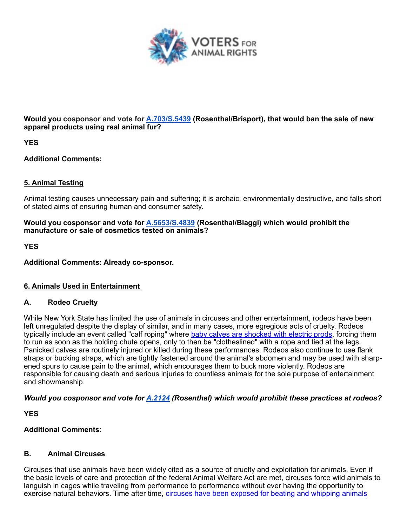

**Would you cosponsor and vote for A.703/S.5439 (Rosenthal/Brisport), that would ban the sale of new apparel products using real animal fur?** 

**YES** 

**Additional Comments:**

### **5. Animal Testing**

Animal testing causes unnecessary pain and suffering; it is archaic, environmentally destructive, and falls short of stated aims of ensuring human and consumer safety.

#### **Would you cosponsor and vote for A.5653/S.4839 (Rosenthal/Biaggi) which would prohibit the manufacture or sale of cosmetics tested on animals?**

**YES** 

**Additional Comments: Already co-sponsor.** 

# **6. Animals Used in Entertainment**

# **A. Rodeo Cruelty**

While New York State has limited the use of animals in circuses and other entertainment, rodeos have been left unregulated despite the display of similar, and in many cases, more egregious acts of cruelty. Rodeos typically include an event called "calf roping" where baby calves are shocked with electric prods, forcing them to run as soon as the holding chute opens, only to then be "clotheslined" with a rope and tied at the legs. Panicked calves are routinely injured or killed during these performances. Rodeos also continue to use flank straps or bucking straps, which are tightly fastened around the animal's abdomen and may be used with sharpened spurs to cause pain to the animal, which encourages them to buck more violently. Rodeos are responsible for causing death and serious injuries to countless animals for the sole purpose of entertainment and showmanship.

*Would you cosponsor and vote for A.2124 (Rosenthal) which would prohibit these practices at rodeos?*

**YES** 

### **Additional Comments:**

# **B. Animal Circuses**

Circuses that use animals have been widely cited as a source of cruelty and exploitation for animals. Even if the basic levels of care and protection of the federal Animal Welfare Act are met, circuses force wild animals to languish in cages while traveling from performance to performance without ever having the opportunity to exercise natural behaviors. Time after time, circuses have been exposed for beating and whipping animals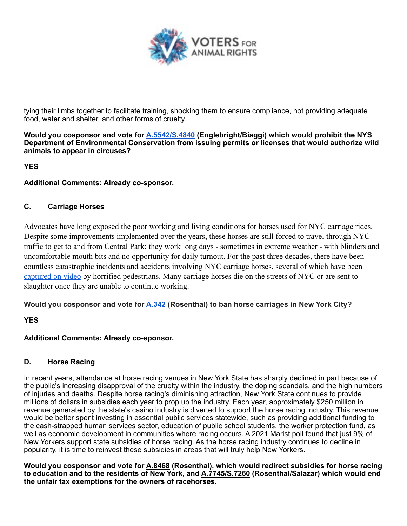

tying their limbs together to facilitate training, shocking them to ensure compliance, not providing adequate food, water and shelter, and other forms of cruelty.

**Would you cosponsor and vote for A.5542/S.4840 (Englebright/Biaggi) which would prohibit the NYS Department of Environmental Conservation from issuing permits or licenses that would authorize wild animals to appear in circuses?**

**YES** 

**Additional Comments: Already co-sponsor.** 

# **C. Carriage Horses**

Advocates have long exposed the poor working and living conditions for horses used for NYC carriage rides. Despite some improvements implemented over the years, these horses are still forced to travel through NYC traffic to get to and from Central Park; they work long days - sometimes in extreme weather - with blinders and uncomfortable mouth bits and no opportunity for daily turnout. For the past three decades, there have been countless catastrophic incidents and accidents involving NYC carriage horses, several of which have been captured on video by horrified pedestrians. Many carriage horses die on the streets of NYC or are sent to slaughter once they are unable to continue working.

# **Would you cosponsor and vote for A.342 (Rosenthal) to ban horse carriages in New York City?**

# **YES**

# **Additional Comments: Already co-sponsor.**

# **D. Horse Racing**

In recent years, attendance at horse racing venues in New York State has sharply declined in part because of the public's increasing disapproval of the cruelty within the industry, the doping scandals, and the high numbers of injuries and deaths. Despite horse racing's diminishing attraction, New York State continues to provide millions of dollars in subsidies each year to prop up the industry. Each year, approximately \$250 million in revenue generated by the state's casino industry is diverted to support the horse racing industry. This revenue would be better spent investing in essential public services statewide, such as providing additional funding to the cash-strapped human services sector, education of public school students, the worker protection fund, as well as economic development in communities where racing occurs. A 2021 Marist poll found that just 9% of New Yorkers support state subsidies of horse racing. As the horse racing industry continues to decline in popularity, it is time to reinvest these subsidies in areas that will truly help New Yorkers.

**Would you cosponsor and vote for A.8468 (Rosenthal), which would redirect subsidies for horse racing to education and to the residents of New York, and A.7745/S.7260 (Rosenthal/Salazar) which would end the unfair tax exemptions for the owners of racehorses.**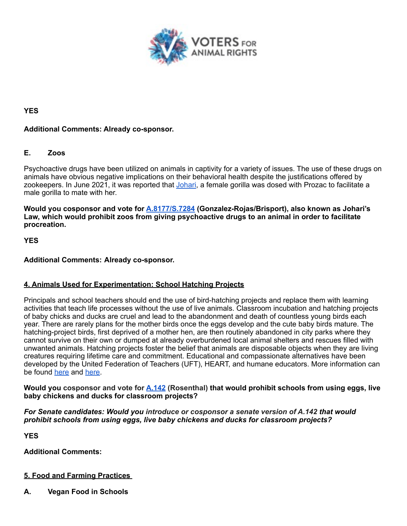

### **YES**

### **Additional Comments: Already co-sponsor.**

### **E. Zoos**

Psychoactive drugs have been utilized on animals in captivity for a variety of issues. The use of these drugs on animals have obvious negative implications on their behavioral health despite the justifications offered by zookeepers. In June 2021, it was reported that Johari, a female gorilla was dosed with Prozac to facilitate a male gorilla to mate with her.

**Would you cosponsor and vote for A.8177/S.7284 (Gonzalez-Rojas/Brisport), also known as Johari's Law, which would prohibit zoos from giving psychoactive drugs to an animal in order to facilitate procreation.** 

**YES**

### **Additional Comments: Already co-sponsor.**

### **4. Animals Used for Experimentation: School Hatching Projects**

Principals and school teachers should end the use of bird-hatching projects and replace them with learning activities that teach life processes without the use of live animals. Classroom incubation and hatching projects of baby chicks and ducks are cruel and lead to the abandonment and death of countless young birds each year. There are rarely plans for the mother birds once the eggs develop and the cute baby birds mature. The hatching-project birds, first deprived of a mother hen, are then routinely abandoned in city parks where they cannot survive on their own or dumped at already overburdened local animal shelters and rescues filled with unwanted animals. Hatching projects foster the belief that animals are disposable objects when they are living creatures requiring lifetime care and commitment. Educational and compassionate alternatives have been developed by the United Federation of Teachers (UFT), HEART, and humane educators. More information can be found here and here.

**Would you cosponsor and vote for A.142 (Rosenthal) that would prohibit schools from using eggs, live baby chickens and ducks for classroom projects?** 

#### *For Senate candidates: Would you introduce or cosponsor a senate version of A.142 that would prohibit schools from using eggs, live baby chickens and ducks for classroom projects?*

**YES** 

**Additional Comments:**

# **5. Food and Farming Practices**

**A. Vegan Food in Schools**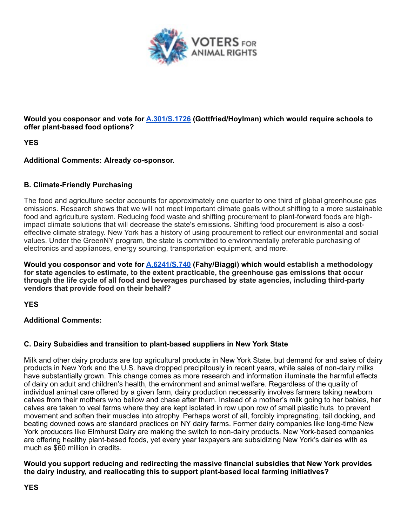

**Would you cosponsor and vote for A.301/S.1726 (Gottfried/Hoylman) which would require schools to offer plant-based food options?**

**YES** 

### **Additional Comments: Already co-sponsor.**

### **B. Climate-Friendly Purchasing**

The food and agriculture sector accounts for approximately one quarter to one third of global greenhouse gas emissions. Research shows that we will not meet important climate goals without shifting to a more sustainable food and agriculture system. Reducing food waste and shifting procurement to plant-forward foods are highimpact climate solutions that will decrease the state's emissions. Shifting food procurement is also a costeffective climate strategy. New York has a history of using procurement to reflect our environmental and social values. Under the GreenNY program, the state is committed to environmentally preferable purchasing of electronics and appliances, energy sourcing, transportation equipment, and more.

**Would you cosponsor and vote for A.6241/S.740 (Fahy/Biaggi) which would establish a methodology for state agencies to estimate, to the extent practicable, the greenhouse gas emissions that occur through the life cycle of all food and beverages purchased by state agencies, including third-party vendors that provide food on their behalf?**

**YES** 

**Additional Comments:** 

# **C. Dairy Subsidies and transition to plant-based suppliers in New York State**

Milk and other dairy products are top agricultural products in New York State, but demand for and sales of dairy products in New York and the U.S. have dropped precipitously in recent years, while sales of non-dairy milks have substantially grown. This change comes as more research and information illuminate the harmful effects of dairy on adult and children's health, the environment and animal welfare. Regardless of the quality of individual animal care offered by a given farm, dairy production necessarily involves farmers taking newborn calves from their mothers who bellow and chase after them. Instead of a mother's milk going to her babies, her calves are taken to veal farms where they are kept isolated in row upon row of small plastic huts to prevent movement and soften their muscles into atrophy. Perhaps worst of all, forcibly impregnating, tail docking, and beating downed cows are standard practices on NY dairy farms. Former dairy companies like long-time New York producers like Elmhurst Dairy are making the switch to non-dairy products. New York-based companies are offering healthy plant-based foods, yet every year taxpayers are subsidizing New York's dairies with as much as \$60 million in credits.

**Would you support reducing and redirecting the massive financial subsidies that New York provides the dairy industry, and reallocating this to support plant-based local farming initiatives?**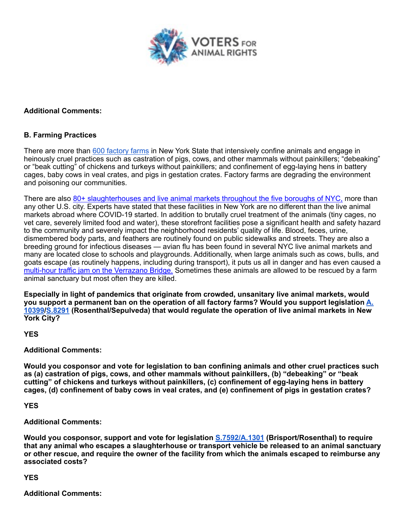

#### **Additional Comments:**

#### **B. Farming Practices**

There are more than 600 factory farms in New York State that intensively confine animals and engage in heinously cruel practices such as castration of pigs, cows, and other mammals without painkillers; "debeaking" or "beak cutting" of chickens and turkeys without painkillers; and confinement of egg-laying hens in battery cages, baby cows in veal crates, and pigs in gestation crates. Factory farms are degrading the environment and poisoning our communities.

There are also 80+ slaughterhouses and live animal markets throughout the five boroughs of NYC, more than any other U.S. city. Experts have stated that these facilities in New York are no different than the live animal markets abroad where COVID-19 started. In addition to brutally cruel treatment of the animals (tiny cages, no vet care, severely limited food and water), these storefront facilities pose a significant health and safety hazard to the community and severely impact the neighborhood residents' quality of life. Blood, feces, urine, dismembered body parts, and feathers are routinely found on public sidewalks and streets. They are also a breeding ground for infectious diseases — avian flu has been found in several NYC live animal markets and many are located close to schools and playgrounds. Additionally, when large animals such as cows, bulls, and goats escape (as routinely happens, including during transport), it puts us all in danger and has even caused a multi-hour traffic jam on the Verrazano Bridge. Sometimes these animals are allowed to be rescued by a farm animal sanctuary but most often they are killed.

**Especially in light of pandemics that originate from crowded, unsanitary live animal markets, would you support a permanent ban on the operation of all factory farms? Would you support legislation A. 10399/S.8291 (Rosenthal/Sepulveda) that would regulate the operation of live animal markets in New York City?** 

**YES** 

#### **Additional Comments:**

**Would you cosponsor and vote for legislation to ban confining animals and other cruel practices such as (a) castration of pigs, cows, and other mammals without painkillers, (b) "debeaking" or "beak cutting" of chickens and turkeys without painkillers, (c) confinement of egg-laying hens in battery cages, (d) confinement of baby cows in veal crates, and (e) confinement of pigs in gestation crates?**

#### **YES**

**Additional Comments:**

**Would you cosponsor, support and vote for legislation S.7592/A.1301 (Brisport/Rosenthal) to require that any animal who escapes a slaughterhouse or transport vehicle be released to an animal sanctuary or other rescue, and require the owner of the facility from which the animals escaped to reimburse any associated costs?** 

**YES** 

**Additional Comments:**